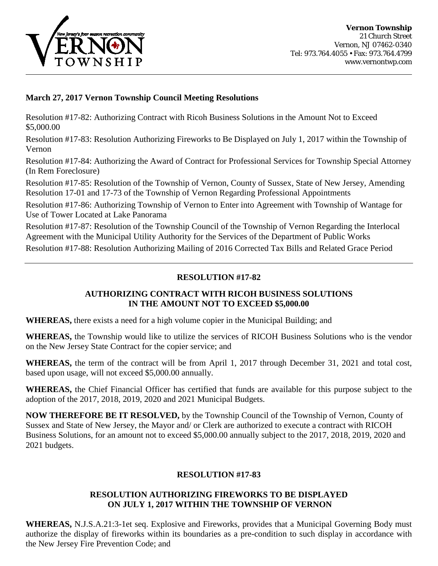

# **March 27, 2017 Vernon Township Council Meeting Resolutions**

Resolution #17-82: Authorizing Contract with Ricoh Business Solutions in the Amount Not to Exceed \$5,000.00

Resolution #17-83: Resolution Authorizing Fireworks to Be Displayed on July 1, 2017 within the Township of Vernon

Resolution #17-84: Authorizing the Award of Contract for Professional Services for Township Special Attorney (In Rem Foreclosure)

Resolution #17-85: Resolution of the Township of Vernon, County of Sussex, State of New Jersey, Amending Resolution 17-01 and 17-73 of the Township of Vernon Regarding Professional Appointments

Resolution #17-86: Authorizing Township of Vernon to Enter into Agreement with Township of Wantage for Use of Tower Located at Lake Panorama

Resolution #17-87: Resolution of the Township Council of the Township of Vernon Regarding the Interlocal Agreement with the Municipal Utility Authority for the Services of the Department of Public Works

Resolution #17-88: Resolution Authorizing Mailing of 2016 Corrected Tax Bills and Related Grace Period

## **RESOLUTION #17-82**

## **AUTHORIZING CONTRACT WITH RICOH BUSINESS SOLUTIONS IN THE AMOUNT NOT TO EXCEED \$5,000.00**

**WHEREAS,** there exists a need for a high volume copier in the Municipal Building; and

**WHEREAS,** the Township would like to utilize the services of RICOH Business Solutions who is the vendor on the New Jersey State Contract for the copier service; and

**WHEREAS,** the term of the contract will be from April 1, 2017 through December 31, 2021 and total cost, based upon usage, will not exceed \$5,000.00 annually.

**WHEREAS,** the Chief Financial Officer has certified that funds are available for this purpose subject to the adoption of the 2017, 2018, 2019, 2020 and 2021 Municipal Budgets.

**NOW THEREFORE BE IT RESOLVED,** by the Township Council of the Township of Vernon, County of Sussex and State of New Jersey, the Mayor and/ or Clerk are authorized to execute a contract with RICOH Business Solutions, for an amount not to exceed \$5,000.00 annually subject to the 2017, 2018, 2019, 2020 and 2021 budgets.

# **RESOLUTION #17-83**

### **RESOLUTION AUTHORIZING FIREWORKS TO BE DISPLAYED ON JULY 1, 2017 WITHIN THE TOWNSHIP OF VERNON**

**WHEREAS,** N.J.S.A.21:3-1et seq. Explosive and Fireworks, provides that a Municipal Governing Body must authorize the display of fireworks within its boundaries as a pre-condition to such display in accordance with the New Jersey Fire Prevention Code; and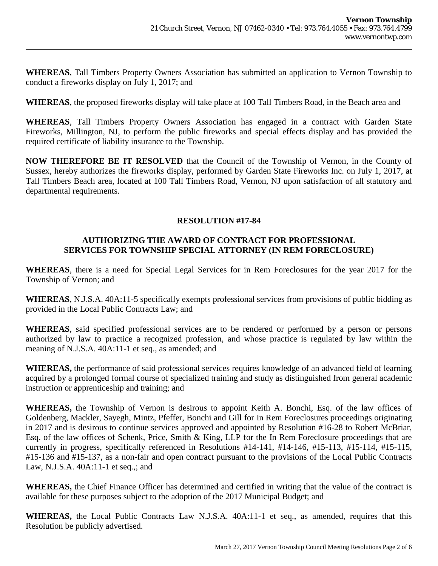**WHEREAS**, Tall Timbers Property Owners Association has submitted an application to Vernon Township to conduct a fireworks display on July 1, 2017; and

**WHEREAS**, the proposed fireworks display will take place at 100 Tall Timbers Road, in the Beach area and

**WHEREAS**, Tall Timbers Property Owners Association has engaged in a contract with Garden State Fireworks, Millington, NJ, to perform the public fireworks and special effects display and has provided the required certificate of liability insurance to the Township.

**NOW THEREFORE BE IT RESOLVED** that the Council of the Township of Vernon, in the County of Sussex, hereby authorizes the fireworks display, performed by Garden State Fireworks Inc. on July 1, 2017, at Tall Timbers Beach area, located at 100 Tall Timbers Road, Vernon, NJ upon satisfaction of all statutory and departmental requirements.

### **RESOLUTION #17-84**

#### **AUTHORIZING THE AWARD OF CONTRACT FOR PROFESSIONAL SERVICES FOR TOWNSHIP SPECIAL ATTORNEY (IN REM FORECLOSURE)**

**WHEREAS**, there is a need for Special Legal Services for in Rem Foreclosures for the year 2017 for the Township of Vernon; and

**WHEREAS**, N.J.S.A. 40A:11-5 specifically exempts professional services from provisions of public bidding as provided in the Local Public Contracts Law; and

**WHEREAS**, said specified professional services are to be rendered or performed by a person or persons authorized by law to practice a recognized profession, and whose practice is regulated by law within the meaning of N.J.S.A. 40A:11-1 et seq., as amended; and

**WHEREAS,** the performance of said professional services requires knowledge of an advanced field of learning acquired by a prolonged formal course of specialized training and study as distinguished from general academic instruction or apprenticeship and training; and

**WHEREAS,** the Township of Vernon is desirous to appoint Keith A. Bonchi, Esq. of the law offices of Goldenberg, Mackler, Sayegh, Mintz, Pfeffer, Bonchi and Gill for In Rem Foreclosures proceedings originating in 2017 and is desirous to continue services approved and appointed by Resolution #16-28 to Robert McBriar, Esq. of the law offices of Schenk, Price, Smith & King, LLP for the In Rem Foreclosure proceedings that are currently in progress, specifically referenced in Resolutions #14-141, #14-146, #15-113, #15-114, #15-115, #15-136 and #15-137, as a non-fair and open contract pursuant to the provisions of the Local Public Contracts Law, N.J.S.A. 40A:11-1 et seq.,; and

**WHEREAS,** the Chief Finance Officer has determined and certified in writing that the value of the contract is available for these purposes subject to the adoption of the 2017 Municipal Budget; and

**WHEREAS,** the Local Public Contracts Law N.J.S.A. 40A:11-1 et seq., as amended, requires that this Resolution be publicly advertised.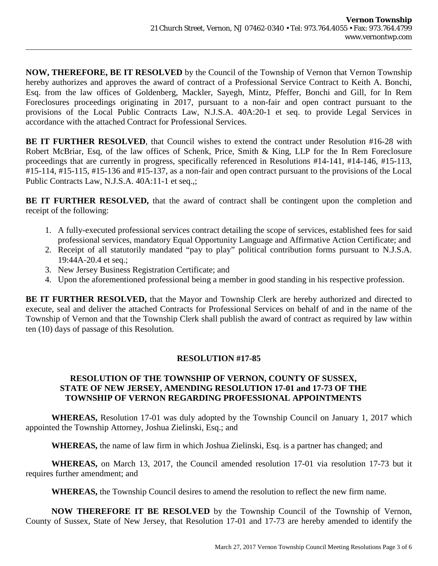**NOW, THEREFORE, BE IT RESOLVED** by the Council of the Township of Vernon that Vernon Township hereby authorizes and approves the award of contract of a Professional Service Contract to Keith A. Bonchi, Esq. from the law offices of Goldenberg, Mackler, Sayegh, Mintz, Pfeffer, Bonchi and Gill, for In Rem Foreclosures proceedings originating in 2017, pursuant to a non-fair and open contract pursuant to the provisions of the Local Public Contracts Law, N.J.S.A. 40A:20-1 et seq. to provide Legal Services in accordance with the attached Contract for Professional Services.

BE IT FURTHER RESOLVED, that Council wishes to extend the contract under Resolution #16-28 with Robert McBriar, Esq, of the law offices of Schenk, Price, Smith & King, LLP for the In Rem Foreclosure proceedings that are currently in progress, specifically referenced in Resolutions #14-141, #14-146, #15-113, #15-114, #15-115, #15-136 and #15-137, as a non-fair and open contract pursuant to the provisions of the Local Public Contracts Law, N.J.S.A. 40A:11-1 et seq.,;

**BE IT FURTHER RESOLVED,** that the award of contract shall be contingent upon the completion and receipt of the following:

- 1. A fully-executed professional services contract detailing the scope of services, established fees for said professional services, mandatory Equal Opportunity Language and Affirmative Action Certificate; and
- 2. Receipt of all statutorily mandated "pay to play" political contribution forms pursuant to N.J.S.A. 19:44A-20.4 et seq.;
- 3. New Jersey Business Registration Certificate; and
- 4. Upon the aforementioned professional being a member in good standing in his respective profession.

**BE IT FURTHER RESOLVED,** that the Mayor and Township Clerk are hereby authorized and directed to execute, seal and deliver the attached Contracts for Professional Services on behalf of and in the name of the Township of Vernon and that the Township Clerk shall publish the award of contract as required by law within ten (10) days of passage of this Resolution.

# **RESOLUTION #17-85**

## **RESOLUTION OF THE TOWNSHIP OF VERNON, COUNTY OF SUSSEX, STATE OF NEW JERSEY, AMENDING RESOLUTION 17-01 and 17-73 OF THE TOWNSHIP OF VERNON REGARDING PROFESSIONAL APPOINTMENTS**

**WHEREAS,** Resolution 17-01 was duly adopted by the Township Council on January 1, 2017 which appointed the Township Attorney, Joshua Zielinski, Esq.; and

**WHEREAS,** the name of law firm in which Joshua Zielinski, Esq. is a partner has changed; and

**WHEREAS,** on March 13, 2017, the Council amended resolution 17-01 via resolution 17-73 but it requires further amendment; and

**WHEREAS,** the Township Council desires to amend the resolution to reflect the new firm name.

**NOW THEREFORE IT BE RESOLVED** by the Township Council of the Township of Vernon, County of Sussex, State of New Jersey, that Resolution 17-01 and 17-73 are hereby amended to identify the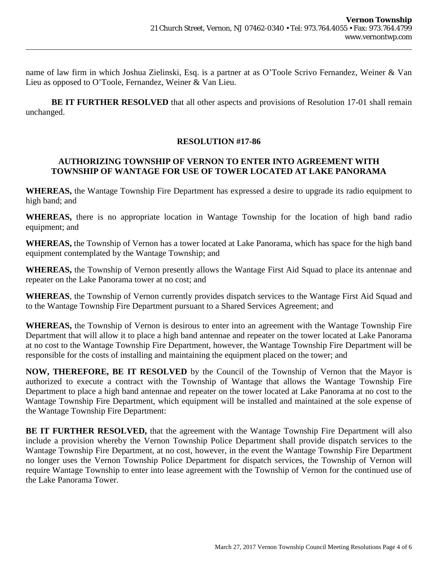name of law firm in which Joshua Zielinski, Esq. is a partner at as O'Toole Scrivo Fernandez, Weiner & Van Lieu as opposed to O'Toole, Fernandez, Weiner & Van Lieu.

**BE IT FURTHER RESOLVED** that all other aspects and provisions of Resolution 17-01 shall remain unchanged.

## **RESOLUTION #17-86**

## **AUTHORIZING TOWNSHIP OF VERNON TO ENTER INTO AGREEMENT WITH TOWNSHIP OF WANTAGE FOR USE OF TOWER LOCATED AT LAKE PANORAMA**

**WHEREAS,** the Wantage Township Fire Department has expressed a desire to upgrade its radio equipment to high band; and

**WHEREAS,** there is no appropriate location in Wantage Township for the location of high band radio equipment; and

**WHEREAS,** the Township of Vernon has a tower located at Lake Panorama, which has space for the high band equipment contemplated by the Wantage Township; and

**WHEREAS,** the Township of Vernon presently allows the Wantage First Aid Squad to place its antennae and repeater on the Lake Panorama tower at no cost; and

**WHEREAS**, the Township of Vernon currently provides dispatch services to the Wantage First Aid Squad and to the Wantage Township Fire Department pursuant to a Shared Services Agreement; and

**WHEREAS,** the Township of Vernon is desirous to enter into an agreement with the Wantage Township Fire Department that will allow it to place a high band antennae and repeater on the tower located at Lake Panorama at no cost to the Wantage Township Fire Department, however, the Wantage Township Fire Department will be responsible for the costs of installing and maintaining the equipment placed on the tower; and

**NOW, THEREFORE, BE IT RESOLVED** by the Council of the Township of Vernon that the Mayor is authorized to execute a contract with the Township of Wantage that allows the Wantage Township Fire Department to place a high band antennae and repeater on the tower located at Lake Panorama at no cost to the Wantage Township Fire Department, which equipment will be installed and maintained at the sole expense of the Wantage Township Fire Department:

**BE IT FURTHER RESOLVED,** that the agreement with the Wantage Township Fire Department will also include a provision whereby the Vernon Township Police Department shall provide dispatch services to the Wantage Township Fire Department, at no cost, however, in the event the Wantage Township Fire Department no longer uses the Vernon Township Police Department for dispatch services, the Township of Vernon will require Wantage Township to enter into lease agreement with the Township of Vernon for the continued use of the Lake Panorama Tower.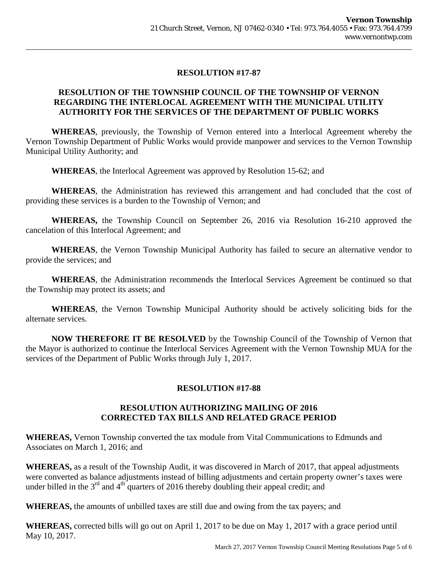# **RESOLUTION #17-87**

## **RESOLUTION OF THE TOWNSHIP COUNCIL OF THE TOWNSHIP OF VERNON REGARDING THE INTERLOCAL AGREEMENT WITH THE MUNICIPAL UTILITY AUTHORITY FOR THE SERVICES OF THE DEPARTMENT OF PUBLIC WORKS**

**WHEREAS**, previously, the Township of Vernon entered into a Interlocal Agreement whereby the Vernon Township Department of Public Works would provide manpower and services to the Vernon Township Municipal Utility Authority; and

**WHEREAS**, the Interlocal Agreement was approved by Resolution 15-62; and

**WHEREAS**, the Administration has reviewed this arrangement and had concluded that the cost of providing these services is a burden to the Township of Vernon; and

**WHEREAS,** the Township Council on September 26, 2016 via Resolution 16-210 approved the cancelation of this Interlocal Agreement; and

**WHEREAS**, the Vernon Township Municipal Authority has failed to secure an alternative vendor to provide the services; and

**WHEREAS**, the Administration recommends the Interlocal Services Agreement be continued so that the Township may protect its assets; and

**WHEREAS**, the Vernon Township Municipal Authority should be actively soliciting bids for the alternate services.

**NOW THEREFORE IT BE RESOLVED** by the Township Council of the Township of Vernon that the Mayor is authorized to continue the Interlocal Services Agreement with the Vernon Township MUA for the services of the Department of Public Works through July 1, 2017.

## **RESOLUTION #17-88**

### **RESOLUTION AUTHORIZING MAILING OF 2016 CORRECTED TAX BILLS AND RELATED GRACE PERIOD**

**WHEREAS,** Vernon Township converted the tax module from Vital Communications to Edmunds and Associates on March 1, 2016; and

**WHEREAS,** as a result of the Township Audit, it was discovered in March of 2017, that appeal adjustments were converted as balance adjustments instead of billing adjustments and certain property owner's taxes were under billed in the  $3<sup>rd</sup>$  and  $4<sup>th</sup>$  quarters of 2016 thereby doubling their appeal credit; and

**WHEREAS,** the amounts of unbilled taxes are still due and owing from the tax payers; and

**WHEREAS,** corrected bills will go out on April 1, 2017 to be due on May 1, 2017 with a grace period until May 10, 2017.